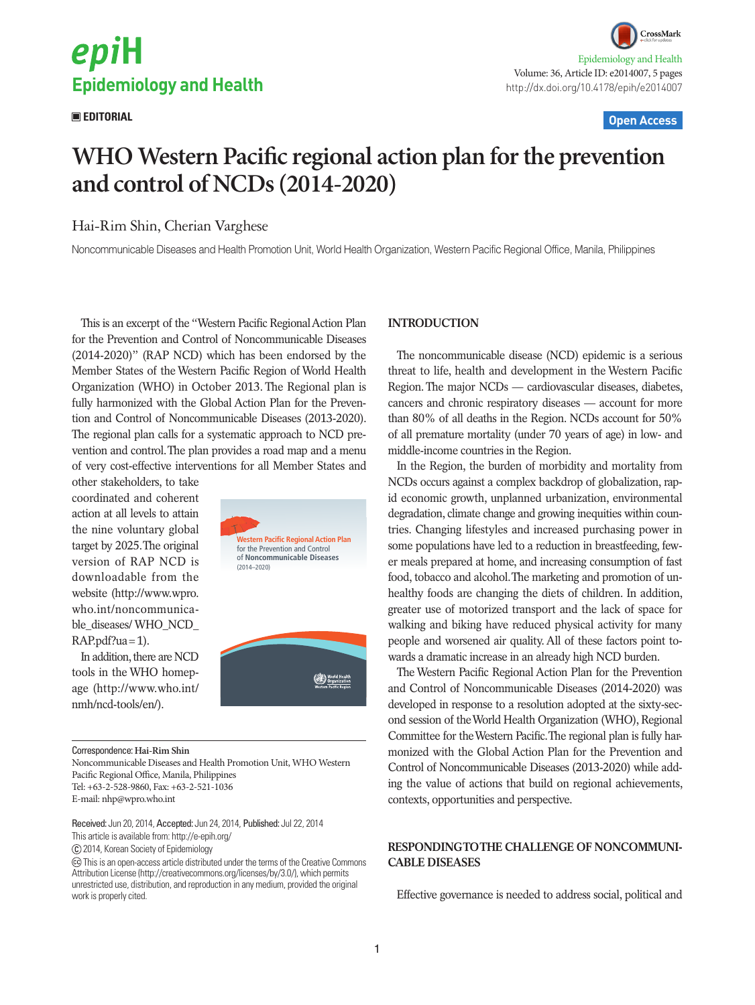# epiH **Epidemiology and Health**

CrossMark Epidemiology and Health Volume: 36, Article ID: e2014007, 5 pages http://dx.doi.org/10.4178/epih/e2014007

#### **EDITORIAL Open Access**

## **WHO Western Pacific regional action plan for the prevention and control of NCDs (2014-2020)**

### Hai-Rim Shin, Cherian Varghese

Noncommunicable Diseases and Health Promotion Unit, World Health Organization, Western Pacific Regional Office, Manila, Philippines

This is an excerpt of the "Western Pacific Regional Action Plan for the Prevention and Control of Noncommunicable Diseases (2014-2020)" (RAP NCD) which has been endorsed by the Member States of the Western Pacific Region of World Health Organization (WHO) in October 2013. The Regional plan is fully harmonized with the Global Action Plan for the Prevention and Control of Noncommunicable Diseases (2013-2020). The regional plan calls for a systematic approach to NCD prevention and control. The plan provides a road map and a menu of very cost-effective interventions for all Member States and

other stakeholders, to take coordinated and coherent action at all levels to attain the nine voluntary global target by 2025. The original version of RAP NCD is downloadable from the website ([http://www.wpro.](http://www.wpro.who.int/noncommunicable_diseases/WHO_NCD_RAP.pdf?ua=1) [who.int/noncommunica](http://www.wpro.who.int/noncommunicable_diseases/WHO_NCD_RAP.pdf?ua=1)ble\_diseases/ WHO\_NCD [RAP.pdf?ua=1\)](http://www.wpro.who.int/noncommunicable_diseases/WHO_NCD_RAP.pdf?ua=1).

In addition, there are NCD tools in the WHO homepage (http://www.who.int/ nmh/ncd-tools/en/).



Correspondence: **Hai-Rim Shin**

Noncommunicable Diseases and Health Promotion Unit, WHO Western Pacific Regional Office, Manila, Philippines Tel: +63-2-528-9860, Fax: +63-2-521-1036 E-mail: nhp@wpro.who.int

Received: Jun 20, 2014, Accepted: Jun 24, 2014, Published: Jul 22, 2014 This article is available from: http://e-epih.org/

2014, Korean Society of Epidemiology

 This is an open-access article distributed under the terms of the Creative Commons Attribution License (http://creativecommons.org/licenses/by/3.0/), which permits unrestricted use, distribution, and reproduction in any medium, provided the original work is properly cited.

#### **INTRODUCTION**

The noncommunicable disease (NCD) epidemic is a serious threat to life, health and development in the Western Pacific Region. The major NCDs — cardiovascular diseases, diabetes, cancers and chronic respiratory diseases — account for more than 80% of all deaths in the Region. NCDs account for 50% of all premature mortality (under 70 years of age) in low- and middle-income countries in the Region.

In the Region, the burden of morbidity and mortality from NCDs occurs against a complex backdrop of globalization, rapid economic growth, unplanned urbanization, environmental degradation, climate change and growing inequities within countries. Changing lifestyles and increased purchasing power in some populations have led to a reduction in breastfeeding, fewer meals prepared at home, and increasing consumption of fast food, tobacco and alcohol. The marketing and promotion of unhealthy foods are changing the diets of children. In addition, greater use of motorized transport and the lack of space for walking and biking have reduced physical activity for many people and worsened air quality. All of these factors point towards a dramatic increase in an already high NCD burden.

The Western Pacific Regional Action Plan for the Prevention and Control of Noncommunicable Diseases (2014-2020) was developed in response to a resolution adopted at the sixty-second session of the World Health Organization (WHO), Regional Committee for the Western Pacific. The regional plan is fully harmonized with the Global Action Plan for the Prevention and Control of Noncommunicable Diseases (2013-2020) while adding the value of actions that build on regional achievements, contexts, opportunities and perspective.

#### **RESPONDING TO THE CHALLENGE OF NONCOMMUNI-CABLE DISEASES**

Effective governance is needed to address social, political and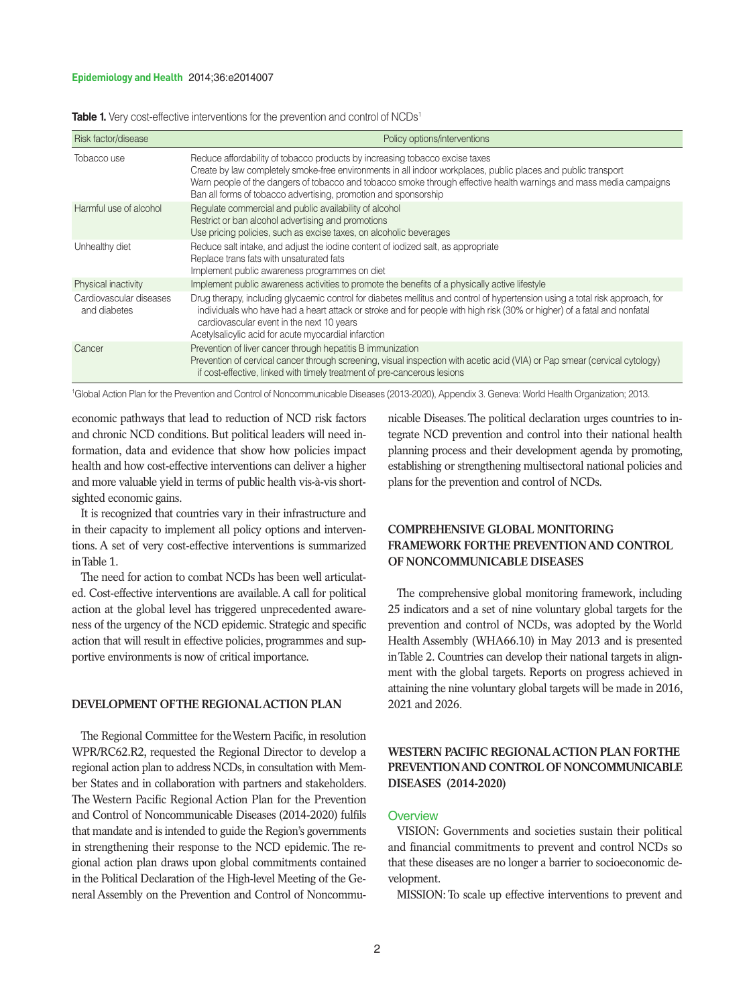#### **Epidemiology and Health** 2014;36:e2014007

|  |  |  |  | <b>Table 1.</b> Very cost-effective interventions for the prevention and control of NCDs <sup>1</sup> |
|--|--|--|--|-------------------------------------------------------------------------------------------------------|
|--|--|--|--|-------------------------------------------------------------------------------------------------------|

| Risk factor/disease                     | Policy options/interventions                                                                                                                                                                                                                                                                                                                                                          |
|-----------------------------------------|---------------------------------------------------------------------------------------------------------------------------------------------------------------------------------------------------------------------------------------------------------------------------------------------------------------------------------------------------------------------------------------|
| Tobacco use                             | Reduce affordability of tobacco products by increasing tobacco excise taxes<br>Create by law completely smoke-free environments in all indoor workplaces, public places and public transport<br>Warn people of the dangers of tobacco and tobacco smoke through effective health warnings and mass media campaigns<br>Ban all forms of tobacco advertising, promotion and sponsorship |
| Harmful use of alcohol                  | Regulate commercial and public availability of alcohol<br>Restrict or ban alcohol advertising and promotions<br>Use pricing policies, such as excise taxes, on alcoholic beverages                                                                                                                                                                                                    |
| Unhealthy diet                          | Reduce salt intake, and adjust the jodine content of jodized salt, as appropriate<br>Replace trans fats with unsaturated fats<br>Implement public awareness programmes on diet                                                                                                                                                                                                        |
| Physical inactivity                     | Implement public awareness activities to promote the benefits of a physically active lifestyle                                                                                                                                                                                                                                                                                        |
| Cardiovascular diseases<br>and diabetes | Drug therapy, including glycaemic control for diabetes mellitus and control of hypertension using a total risk approach, for<br>individuals who have had a heart attack or stroke and for people with high risk (30% or higher) of a fatal and nonfatal<br>cardiovascular event in the next 10 years<br>Acetylsalicylic acid for acute myocardial infarction                          |
| Cancer                                  | Prevention of liver cancer through hepatitis B immunization<br>Prevention of cervical cancer through screening, visual inspection with acetic acid (VIA) or Pap smear (cervical cytology)<br>if cost-effective, linked with timely treatment of pre-cancerous lesions                                                                                                                 |

1 Global Action Plan for the Prevention and Control of Noncommunicable Diseases (2013-2020), Appendix 3. Geneva: World Health Organization; 2013.

economic pathways that lead to reduction of NCD risk factors and chronic NCD conditions. But political leaders will need information, data and evidence that show how policies impact health and how cost-effective interventions can deliver a higher and more valuable yield in terms of public health vis-à-vis shortsighted economic gains.

It is recognized that countries vary in their infrastructure and in their capacity to implement all policy options and interventions. A set of very cost-effective interventions is summarized in Table 1.

The need for action to combat NCDs has been well articulated. Cost-effective interventions are available. A call for political action at the global level has triggered unprecedented awareness of the urgency of the NCD epidemic. Strategic and specific action that will result in effective policies, programmes and supportive environments is now of critical importance.

#### **DEVELOPMENT OF THE REGIONAL ACTION PLAN**

The Regional Committee for the Western Pacific, in resolution WPR/RC62.R2, requested the Regional Director to develop a regional action plan to address NCDs, in consultation with Member States and in collaboration with partners and stakeholders. The Western Pacific Regional Action Plan for the Prevention and Control of Noncommunicable Diseases (2014-2020) fulfils that mandate and is intended to guide the Region's governments in strengthening their response to the NCD epidemic. The regional action plan draws upon global commitments contained in the Political Declaration of the High-level Meeting of the General Assembly on the Prevention and Control of Noncommu-

nicable Diseases. The political declaration urges countries to integrate NCD prevention and control into their national health planning process and their development agenda by promoting, establishing or strengthening multisectoral national policies and plans for the prevention and control of NCDs.

#### **COMPREHENSIVE GLOBAL MONITORING FRAMEWORK FOR THE PREVENTION AND CONTROL OF NONCOMMUNICABLE DISEASES**

The comprehensive global monitoring framework, including 25 indicators and a set of nine voluntary global targets for the prevention and control of NCDs, was adopted by the World Health Assembly (WHA66.10) in May 2013 and is presented in Table 2. Countries can develop their national targets in alignment with the global targets. Reports on progress achieved in attaining the nine voluntary global targets will be made in 2016, 2021 and 2026.

#### **WESTERN PACIFIC REGIONAL ACTION PLAN FOR THE PREVENTION AND CONTROL OF NONCOMMUNICABLE DISEASES (2014-2020)**

#### **Overview**

VISION: Governments and societies sustain their political and financial commitments to prevent and control NCDs so that these diseases are no longer a barrier to socioeconomic development.

MISSION: To scale up effective interventions to prevent and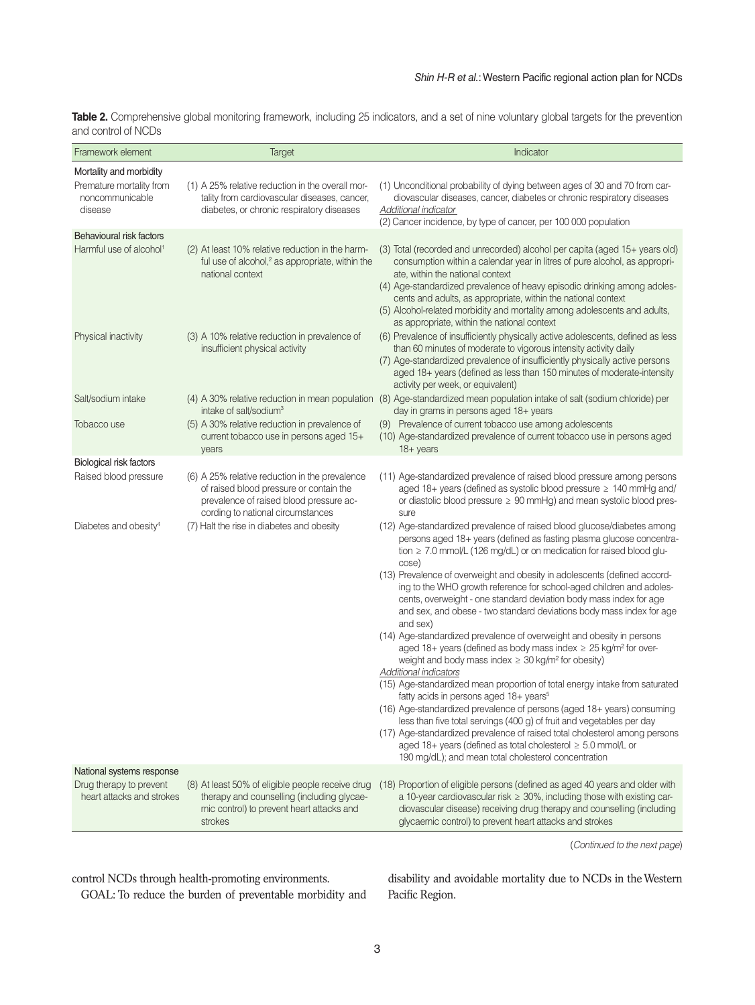**Table 2.** Comprehensive global monitoring framework, including 25 indicators, and a set of nine voluntary global targets for the prevention and control of NCDs

| Framework element                                                                 | Target                                                                                                                                                                    | Indicator                                                                                                                                                                                                                                                                                                                                                                                                                                                              |
|-----------------------------------------------------------------------------------|---------------------------------------------------------------------------------------------------------------------------------------------------------------------------|------------------------------------------------------------------------------------------------------------------------------------------------------------------------------------------------------------------------------------------------------------------------------------------------------------------------------------------------------------------------------------------------------------------------------------------------------------------------|
| Mortality and morbidity<br>Premature mortality from<br>noncommunicable<br>disease | (1) A 25% relative reduction in the overall mor-<br>tality from cardiovascular diseases, cancer,<br>diabetes, or chronic respiratory diseases                             | (1) Unconditional probability of dying between ages of 30 and 70 from car-<br>diovascular diseases, cancer, diabetes or chronic respiratory diseases<br><b>Additional indicator</b><br>(2) Cancer incidence, by type of cancer, per 100 000 population                                                                                                                                                                                                                 |
| Behavioural risk factors<br>Harmful use of alcohol <sup>1</sup>                   | (2) At least 10% relative reduction in the harm-<br>ful use of alcohol, <sup>2</sup> as appropriate, within the<br>national context                                       | (3) Total (recorded and unrecorded) alcohol per capita (aged 15+ years old)<br>consumption within a calendar year in litres of pure alcohol, as appropri-<br>ate, within the national context<br>(4) Age-standardized prevalence of heavy episodic drinking among adoles-<br>cents and adults, as appropriate, within the national context<br>(5) Alcohol-related morbidity and mortality among adolescents and adults,<br>as appropriate, within the national context |
| Physical inactivity                                                               | (3) A 10% relative reduction in prevalence of<br>insufficient physical activity                                                                                           | (6) Prevalence of insufficiently physically active adolescents, defined as less<br>than 60 minutes of moderate to vigorous intensity activity daily<br>(7) Age-standardized prevalence of insufficiently physically active persons<br>aged 18+ years (defined as less than 150 minutes of moderate-intensity<br>activity per week, or equivalent)                                                                                                                      |
| Salt/sodium intake                                                                | intake of salt/sodium <sup>3</sup>                                                                                                                                        | (4) A 30% relative reduction in mean population (8) Age-standardized mean population intake of salt (sodium chloride) per<br>day in grams in persons aged 18+ years                                                                                                                                                                                                                                                                                                    |
| Tobacco use                                                                       | (5) A 30% relative reduction in prevalence of<br>current tobacco use in persons aged 15+<br>years                                                                         | (9) Prevalence of current tobacco use among adolescents<br>(10) Age-standardized prevalence of current tobacco use in persons aged<br>$18 + years$                                                                                                                                                                                                                                                                                                                     |
| Biological risk factors                                                           |                                                                                                                                                                           |                                                                                                                                                                                                                                                                                                                                                                                                                                                                        |
| Raised blood pressure                                                             | (6) A 25% relative reduction in the prevalence<br>of raised blood pressure or contain the<br>prevalence of raised blood pressure ac-<br>cording to national circumstances | (11) Age-standardized prevalence of raised blood pressure among persons<br>aged 18+ years (defined as systolic blood pressure $\geq 140$ mmHg and/<br>or diastolic blood pressure $\geq 90$ mmHg) and mean systolic blood pres-<br>sure                                                                                                                                                                                                                                |
| Diabetes and obesity <sup>4</sup>                                                 | (7) Halt the rise in diabetes and obesity                                                                                                                                 | (12) Age-standardized prevalence of raised blood glucose/diabetes among<br>persons aged 18+ years (defined as fasting plasma glucose concentra-<br>tion $\geq$ 7.0 mmol/L (126 mg/dL) or on medication for raised blood glu-<br>cose)                                                                                                                                                                                                                                  |
|                                                                                   |                                                                                                                                                                           | (13) Prevalence of overweight and obesity in adolescents (defined accord-<br>ing to the WHO growth reference for school-aged children and adoles-<br>cents, overweight - one standard deviation body mass index for age<br>and sex, and obese - two standard deviations body mass index for age<br>and sex)                                                                                                                                                            |
|                                                                                   |                                                                                                                                                                           | (14) Age-standardized prevalence of overweight and obesity in persons<br>aged 18+ years (defined as body mass index $\geq$ 25 kg/m <sup>2</sup> for over-<br>weight and body mass index $\geq$ 30 kg/m <sup>2</sup> for obesity)<br>Additional indicators                                                                                                                                                                                                              |
|                                                                                   |                                                                                                                                                                           | (15) Age-standardized mean proportion of total energy intake from saturated<br>fatty acids in persons aged 18+ years <sup>5</sup><br>(16) Age-standardized prevalence of persons (aged 18+ years) consuming<br>less than five total servings (400 g) of fruit and vegetables per day                                                                                                                                                                                   |
|                                                                                   |                                                                                                                                                                           | (17) Age-standardized prevalence of raised total cholesterol among persons<br>aged 18+ years (defined as total cholesterol $\geq 5.0$ mmol/L or<br>190 mg/dL); and mean total cholesterol concentration                                                                                                                                                                                                                                                                |
| National systems response                                                         |                                                                                                                                                                           |                                                                                                                                                                                                                                                                                                                                                                                                                                                                        |
| Drug therapy to prevent<br>heart attacks and strokes                              | (8) At least 50% of eligible people receive drug<br>therapy and counselling (including glycae-<br>mic control) to prevent heart attacks and<br>strokes                    | (18) Proportion of eligible persons (defined as aged 40 years and older with<br>a 10-year cardiovascular risk $\geq$ 30%, including those with existing car-<br>diovascular disease) receiving drug therapy and counselling (including<br>glycaemic control) to prevent heart attacks and strokes                                                                                                                                                                      |

(*Continued to the next page*)

control NCDs through health-promoting environments.

GOAL: To reduce the burden of preventable morbidity and

disability and avoidable mortality due to NCDs in the Western Pacific Region.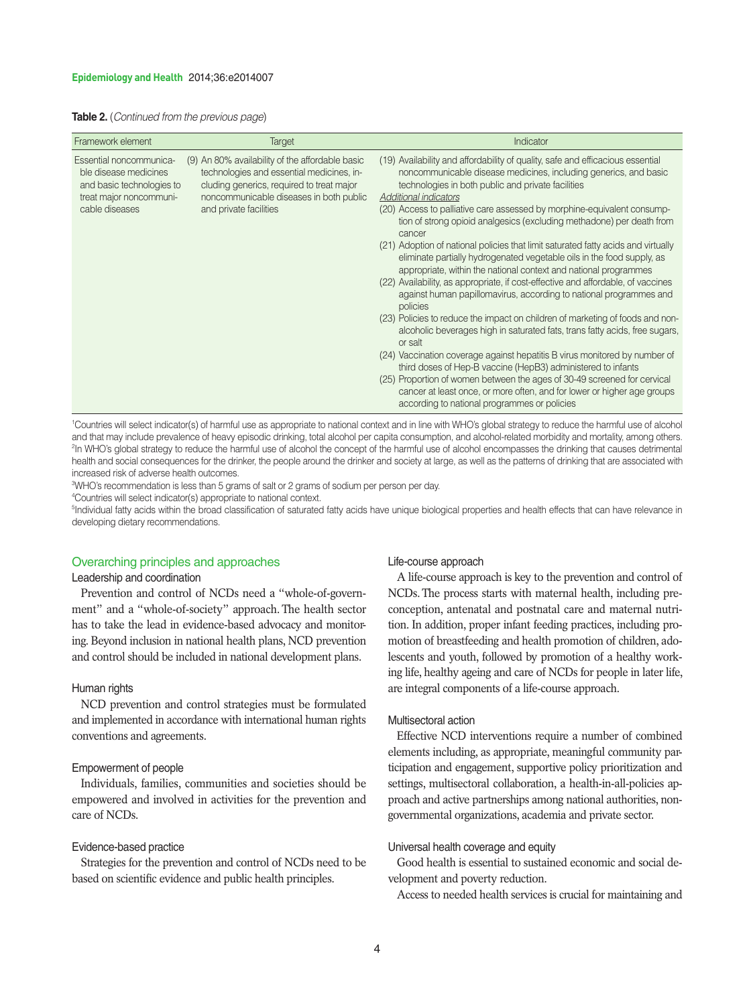|  |  |  | <b>Table 2.</b> (Continued from the previous page) |  |  |  |  |
|--|--|--|----------------------------------------------------|--|--|--|--|
|--|--|--|----------------------------------------------------|--|--|--|--|

| Framework element                                                                                                          | Target                                                                                                                                                                                                         | Indicator                                                                                                                                                                                                                                                                                                                                                                                                                                                                                                                                                                                                                                                                                                                                                                                                                                                                                                                                                                                                                                                                                                                                                                                                                                                                                                                                |
|----------------------------------------------------------------------------------------------------------------------------|----------------------------------------------------------------------------------------------------------------------------------------------------------------------------------------------------------------|------------------------------------------------------------------------------------------------------------------------------------------------------------------------------------------------------------------------------------------------------------------------------------------------------------------------------------------------------------------------------------------------------------------------------------------------------------------------------------------------------------------------------------------------------------------------------------------------------------------------------------------------------------------------------------------------------------------------------------------------------------------------------------------------------------------------------------------------------------------------------------------------------------------------------------------------------------------------------------------------------------------------------------------------------------------------------------------------------------------------------------------------------------------------------------------------------------------------------------------------------------------------------------------------------------------------------------------|
| Essential noncommunica-<br>ble disease medicines<br>and basic technologies to<br>treat major noncommuni-<br>cable diseases | (9) An 80% availability of the affordable basic<br>technologies and essential medicines, in-<br>cluding generics, required to treat major<br>noncommunicable diseases in both public<br>and private facilities | (19) Availability and affordability of quality, safe and efficacious essential<br>noncommunicable disease medicines, including generics, and basic<br>technologies in both public and private facilities<br>Additional indicators<br>(20) Access to palliative care assessed by morphine-equivalent consump-<br>tion of strong opioid analgesics (excluding methadone) per death from<br>cancer<br>(21) Adoption of national policies that limit saturated fatty acids and virtually<br>eliminate partially hydrogenated vegetable oils in the food supply, as<br>appropriate, within the national context and national programmes<br>(22) Availability, as appropriate, if cost-effective and affordable, of vaccines<br>against human papillomavirus, according to national programmes and<br>policies<br>(23) Policies to reduce the impact on children of marketing of foods and non-<br>alcoholic beverages high in saturated fats, trans fatty acids, free sugars,<br>or salt<br>(24) Vaccination coverage against hepatitis B virus monitored by number of<br>third doses of Hep-B vaccine (HepB3) administered to infants<br>(25) Proportion of women between the ages of 30-49 screened for cervical<br>cancer at least once, or more often, and for lower or higher age groups<br>according to national programmes or policies |

1 Countries will select indicator(s) of harmful use as appropriate to national context and in line with WHO's global strategy to reduce the harmful use of alcohol and that may include prevalence of heavy episodic drinking, total alcohol per capita consumption, and alcohol-related morbidity and mortality, among others. 2 In WHO's global strategy to reduce the harmful use of alcohol the concept of the harmful use of alcohol encompasses the drinking that causes detrimental health and social consequences for the drinker, the people around the drinker and society at large, as well as the patterns of drinking that are associated with increased risk of adverse health outcomes.

3 WHO's recommendation is less than 5 grams of salt or 2 grams of sodium per person per day.

4 Countries will select indicator(s) appropriate to national context.

<sup>5</sup>Individual fatty acids within the broad classification of saturated fatty acids have unique biological properties and health effects that can have relevance in developing dietary recommendations.

#### Overarching principles and approaches

#### Leadership and coordination

Prevention and control of NCDs need a "whole-of-government" and a "whole-of-society" approach. The health sector has to take the lead in evidence-based advocacy and monitoring. Beyond inclusion in national health plans, NCD prevention and control should be included in national development plans.

#### Human rights

NCD prevention and control strategies must be formulated and implemented in accordance with international human rights conventions and agreements.

#### Empowerment of people

Individuals, families, communities and societies should be empowered and involved in activities for the prevention and care of NCDs.

#### Evidence-based practice

Strategies for the prevention and control of NCDs need to be based on scientific evidence and public health principles.

#### Life-course approach

A life-course approach is key to the prevention and control of NCDs. The process starts with maternal health, including preconception, antenatal and postnatal care and maternal nutrition. In addition, proper infant feeding practices, including promotion of breastfeeding and health promotion of children, adolescents and youth, followed by promotion of a healthy working life, healthy ageing and care of NCDs for people in later life, are integral components of a life-course approach.

#### Multisectoral action

Effective NCD interventions require a number of combined elements including, as appropriate, meaningful community participation and engagement, supportive policy prioritization and settings, multisectoral collaboration, a health-in-all-policies approach and active partnerships among national authorities, nongovernmental organizations, academia and private sector.

#### Universal health coverage and equity

Good health is essential to sustained economic and social development and poverty reduction.

Access to needed health services is crucial for maintaining and